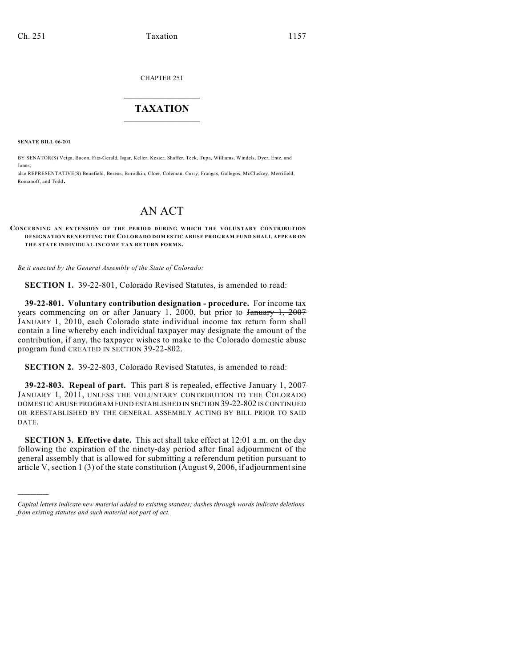CHAPTER 251

## $\overline{\phantom{a}}$  . The set of the set of the set of the set of the set of the set of the set of the set of the set of the set of the set of the set of the set of the set of the set of the set of the set of the set of the set o **TAXATION**  $\_$

**SENATE BILL 06-201**

)))))

BY SENATOR(S) Veiga, Bacon, Fitz-Gerald, Isgar, Keller, Kester, Shaffer, Teck, Tupa, Williams, Windels, Dyer, Entz, and Jones;

also REPRESENTATIVE(S) Benefield, Berens, Borodkin, Cloer, Coleman, Curry, Frangas, Gallegos, McCluskey, Merrifield, Romanoff, and Todd.

## AN ACT

## **CONCERNING AN EXTENSION OF THE PERIOD DURING WHICH THE VOLUNTARY CONTRIBUTION DESIGNATION BENEFITING THE COLORADO DOMESTIC ABUSE PROGRAM FUND SHALL APPEAR ON** THE STATE INDIVIDUAL INCOME TAX RETURN FORMS.

*Be it enacted by the General Assembly of the State of Colorado:*

**SECTION 1.** 39-22-801, Colorado Revised Statutes, is amended to read:

**39-22-801. Voluntary contribution designation - procedure.** For income tax years commencing on or after January 1, 2000, but prior to January 1, 2007 JANUARY 1, 2010, each Colorado state individual income tax return form shall contain a line whereby each individual taxpayer may designate the amount of the contribution, if any, the taxpayer wishes to make to the Colorado domestic abuse program fund CREATED IN SECTION 39-22-802.

**SECTION 2.** 39-22-803, Colorado Revised Statutes, is amended to read:

**39-22-803. Repeal of part.** This part 8 is repealed, effective January 1, 2007 JANUARY 1, 2011, UNLESS THE VOLUNTARY CONTRIBUTION TO THE COLORADO DOMESTIC ABUSE PROGRAM FUND ESTABLISHED IN SECTION 39-22-802 IS CONTINUED OR REESTABLISHED BY THE GENERAL ASSEMBLY ACTING BY BILL PRIOR TO SAID DATE.

**SECTION 3. Effective date.** This act shall take effect at 12:01 a.m. on the day following the expiration of the ninety-day period after final adjournment of the general assembly that is allowed for submitting a referendum petition pursuant to article V, section 1 (3) of the state constitution (August 9, 2006, if adjournment sine

*Capital letters indicate new material added to existing statutes; dashes through words indicate deletions from existing statutes and such material not part of act.*